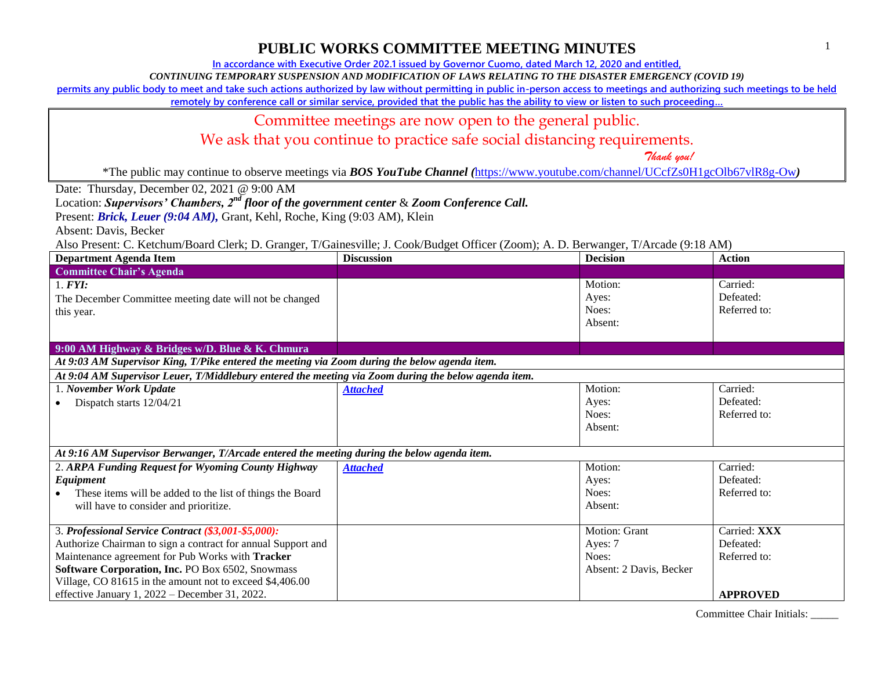**In accordance with Executive Order 202.1 issued by Governor Cuomo, dated March 12, 2020 and entitled,**

*CONTINUING TEMPORARY SUSPENSION AND MODIFICATION OF LAWS RELATING TO THE DISASTER EMERGENCY (COVID 19)*

**permits any public body to meet and take such actions authorized by law without permitting in public in-person access to meetings and authorizing such meetings to be held** 

**remotely by conference call or similar service, provided that the public has the ability to view or listen to such proceeding…**

#### Committee meetings are now open to the general public.

We ask that you continue to practice safe social distancing requirements.

 *Thank you!*

\*The public may continue to observe meetings via *BOS YouTube Channel (*<https://www.youtube.com/channel/UCcfZs0H1gcOlb67vlR8g-Ow>*)*

Date: Thursday, December 02, 2021 @ 9:00 AM

Location: *Supervisors' Chambers, 2nd floor of the government center* & *Zoom Conference Call.*

Present: *Brick, Leuer* (9:04 AM), Grant, Kehl, Roche, King (9:03 AM), Klein

Absent: Davis, Becker

Also Present: C. Ketchum/Board Clerk; D. Granger, T/Gainesville; J. Cook/Budget Officer (Zoom); A. D. Berwanger, T/Arcade (9:18 AM)

| <b>Department Agenda Item</b>                                                                        | <b>Discussion</b> | <b>Decision</b>         | <b>Action</b>   |
|------------------------------------------------------------------------------------------------------|-------------------|-------------------------|-----------------|
| <b>Committee Chair's Agenda</b>                                                                      |                   |                         |                 |
| 1. <b>FYI</b> :                                                                                      |                   | Motion:                 | Carried:        |
| The December Committee meeting date will not be changed                                              |                   | Ayes:                   | Defeated:       |
| this year.                                                                                           |                   | Noes:                   | Referred to:    |
|                                                                                                      |                   | Absent:                 |                 |
|                                                                                                      |                   |                         |                 |
| 9:00 AM Highway & Bridges w/D. Blue & K. Chmura                                                      |                   |                         |                 |
| At 9:03 AM Supervisor King, T/Pike entered the meeting via Zoom during the below agenda item.        |                   |                         |                 |
| At 9:04 AM Supervisor Leuer, T/Middlebury entered the meeting via Zoom during the below agenda item. |                   |                         |                 |
| 1. November Work Update                                                                              | <b>Attached</b>   | Motion:                 | Carried:        |
| Dispatch starts 12/04/21                                                                             |                   | Ayes:                   | Defeated:       |
|                                                                                                      |                   | Noes:                   | Referred to:    |
|                                                                                                      |                   | Absent:                 |                 |
|                                                                                                      |                   |                         |                 |
| At 9:16 AM Supervisor Berwanger, T/Arcade entered the meeting during the below agenda item.          |                   |                         |                 |
| 2. ARPA Funding Request for Wyoming County Highway                                                   | <b>Attached</b>   | Motion:                 | Carried:        |
| Equipment                                                                                            |                   | Ayes:                   | Defeated:       |
| These items will be added to the list of things the Board                                            |                   | Noes:                   | Referred to:    |
| will have to consider and prioritize.                                                                |                   | Absent:                 |                 |
|                                                                                                      |                   |                         |                 |
| 3. Professional Service Contract (\$3,001-\$5,000):                                                  |                   | <b>Motion: Grant</b>    | Carried: XXX    |
| Authorize Chairman to sign a contract for annual Support and                                         |                   | Ayes: 7                 | Defeated:       |
| Maintenance agreement for Pub Works with Tracker                                                     |                   | Noes:                   | Referred to:    |
| Software Corporation, Inc. PO Box 6502, Snowmass                                                     |                   | Absent: 2 Davis, Becker |                 |
| Village, CO 81615 in the amount not to exceed \$4,406.00                                             |                   |                         |                 |
| effective January 1, 2022 – December 31, 2022.                                                       |                   |                         | <b>APPROVED</b> |

Committee Chair Initials: \_\_\_\_\_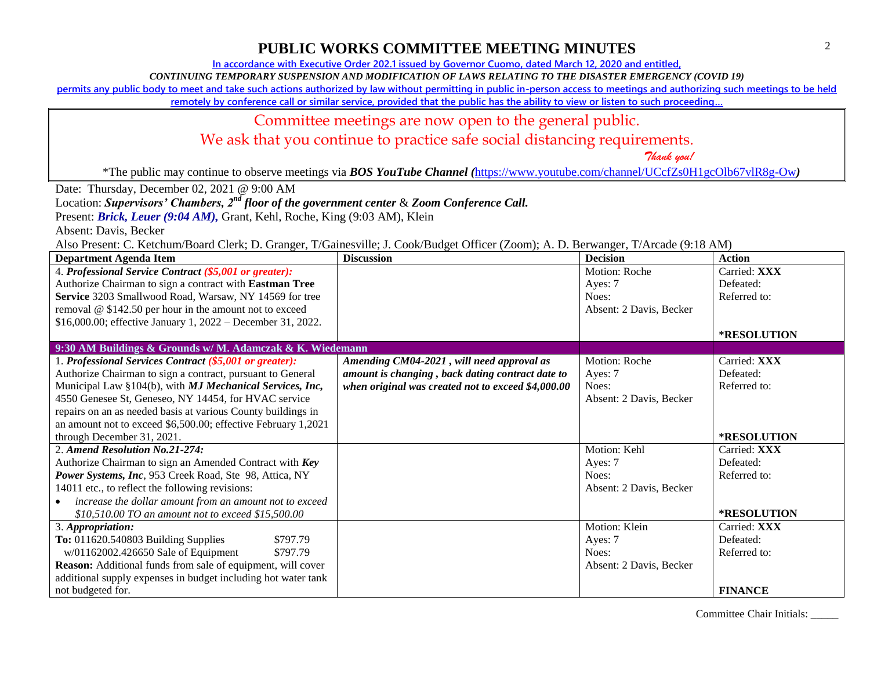**In accordance with Executive Order 202.1 issued by Governor Cuomo, dated March 12, 2020 and entitled,**

*CONTINUING TEMPORARY SUSPENSION AND MODIFICATION OF LAWS RELATING TO THE DISASTER EMERGENCY (COVID 19)*

**permits any public body to meet and take such actions authorized by law without permitting in public in-person access to meetings and authorizing such meetings to be held** 

**remotely by conference call or similar service, provided that the public has the ability to view or listen to such proceeding…**

#### Committee meetings are now open to the general public.

We ask that you continue to practice safe social distancing requirements.

 *Thank you!*

\*The public may continue to observe meetings via *BOS YouTube Channel (*<https://www.youtube.com/channel/UCcfZs0H1gcOlb67vlR8g-Ow>*)*

Date: Thursday, December 02, 2021 @ 9:00 AM

Location: *Supervisors' Chambers, 2nd floor of the government center* & *Zoom Conference Call.*

Present: *Brick, Leuer* (9:04 AM), Grant, Kehl, Roche, King (9:03 AM), Klein

Absent: Davis, Becker

Also Present: C. Ketchum/Board Clerk; D. Granger, T/Gainesville; J. Cook/Budget Officer (Zoom); A. D. Berwanger, T/Arcade (9:18 AM)

| <b>Department Agenda Item</b>                                 | <b>Discussion</b>                                  | <b>Decision</b>         | <b>Action</b>  |
|---------------------------------------------------------------|----------------------------------------------------|-------------------------|----------------|
| 4. Professional Service Contract (\$5,001 or greater):        |                                                    | Motion: Roche           | Carried: XXX   |
| Authorize Chairman to sign a contract with Eastman Tree       |                                                    | Ayes: 7                 | Defeated:      |
| Service 3203 Smallwood Road, Warsaw, NY 14569 for tree        |                                                    | Noes:                   | Referred to:   |
| removal @ \$142.50 per hour in the amount not to exceed       |                                                    | Absent: 2 Davis, Becker |                |
| \$16,000.00; effective January 1, 2022 – December 31, 2022.   |                                                    |                         |                |
|                                                               |                                                    |                         | *RESOLUTION    |
| 9:30 AM Buildings & Grounds w/ M. Adamczak & K. Wiedemann     |                                                    |                         |                |
| 1. Professional Services Contract (\$5,001 or greater):       | Amending CM04-2021, will need approval as          | Motion: Roche           | Carried: XXX   |
| Authorize Chairman to sign a contract, pursuant to General    | amount is changing, back dating contract date to   | Ayes: 7                 | Defeated:      |
| Municipal Law §104(b), with MJ Mechanical Services, Inc,      | when original was created not to exceed \$4,000.00 | Noes:                   | Referred to:   |
| 4550 Genesee St, Geneseo, NY 14454, for HVAC service          |                                                    | Absent: 2 Davis, Becker |                |
| repairs on an as needed basis at various County buildings in  |                                                    |                         |                |
| an amount not to exceed \$6,500.00; effective February 1,2021 |                                                    |                         |                |
| through December 31, 2021.                                    |                                                    |                         | *RESOLUTION    |
| 2. Amend Resolution No.21-274:                                |                                                    | Motion: Kehl            | Carried: XXX   |
| Authorize Chairman to sign an Amended Contract with Key       |                                                    | Ayes: 7                 | Defeated:      |
| Power Systems, Inc, 953 Creek Road, Ste 98, Attica, NY        |                                                    | Noes:                   | Referred to:   |
| 14011 etc., to reflect the following revisions:               |                                                    | Absent: 2 Davis, Becker |                |
| increase the dollar amount from an amount not to exceed       |                                                    |                         |                |
| \$10,510.00 TO an amount not to exceed \$15,500.00            |                                                    |                         | *RESOLUTION    |
| 3. Appropriation:                                             |                                                    | Motion: Klein           | Carried: XXX   |
| To: 011620.540803 Building Supplies<br>\$797.79               |                                                    | Ayes: 7                 | Defeated:      |
| w/01162002.426650 Sale of Equipment<br>\$797.79               |                                                    | Noes:                   | Referred to:   |
| Reason: Additional funds from sale of equipment, will cover   |                                                    | Absent: 2 Davis, Becker |                |
| additional supply expenses in budget including hot water tank |                                                    |                         |                |
| not budgeted for.                                             |                                                    |                         | <b>FINANCE</b> |

Committee Chair Initials: \_\_\_\_\_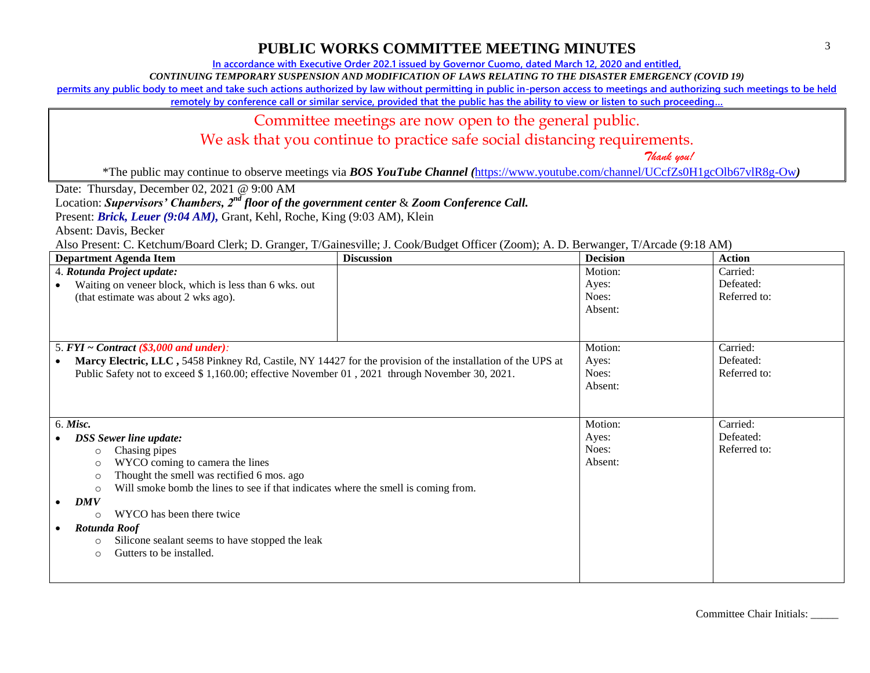**In accordance with Executive Order 202.1 issued by Governor Cuomo, dated March 12, 2020 and entitled,**

*CONTINUING TEMPORARY SUSPENSION AND MODIFICATION OF LAWS RELATING TO THE DISASTER EMERGENCY (COVID 19)*

**permits any public body to meet and take such actions authorized by law without permitting in public in-person access to meetings and authorizing such meetings to be held** 

**remotely by conference call or similar service, provided that the public has the ability to view or listen to such proceeding…**

## Committee meetings are now open to the general public.

We ask that you continue to practice safe social distancing requirements.

 *Thank you!*

\*The public may continue to observe meetings via *BOS YouTube Channel (*<https://www.youtube.com/channel/UCcfZs0H1gcOlb67vlR8g-Ow>*)*

Date: Thursday, December 02, 2021 @ 9:00 AM

Location: *Supervisors' Chambers, 2nd floor of the government center* & *Zoom Conference Call.*

Present: *Brick, Leuer* (9:04 AM), Grant, Kehl, Roche, King (9:03 AM), Klein

Absent: Davis, Becker

Also Present: C. Ketchum/Board Clerk; D. Granger, T/Gainesville; J. Cook/Budget Officer (Zoom); A. D. Berwanger, T/Arcade (9:18 AM)

| <b>Department Agenda Item</b>                                                                               | <b>Discussion</b> | <b>Decision</b> | <b>Action</b> |
|-------------------------------------------------------------------------------------------------------------|-------------------|-----------------|---------------|
| 4. Rotunda Project update:                                                                                  |                   | Motion:         | Carried:      |
| Waiting on veneer block, which is less than 6 wks. out                                                      |                   | Ayes:           | Defeated:     |
| (that estimate was about 2 wks ago).                                                                        |                   | Noes:           | Referred to:  |
|                                                                                                             |                   | Absent:         |               |
|                                                                                                             |                   |                 |               |
|                                                                                                             |                   |                 |               |
| 5. $FYI \sim Contract$ (\$3,000 and under):                                                                 |                   | Motion:         | Carried:      |
| Marcy Electric, LLC, 5458 Pinkney Rd, Castile, NY 14427 for the provision of the installation of the UPS at |                   | Ayes:           | Defeated:     |
| Public Safety not to exceed \$1,160.00; effective November 01, 2021 through November 30, 2021.              |                   | Noes:           | Referred to:  |
|                                                                                                             |                   | Absent:         |               |
|                                                                                                             |                   |                 |               |
|                                                                                                             |                   |                 |               |
| 6. Misc.                                                                                                    |                   | Motion:         | Carried:      |
| <b>DSS</b> Sewer line update:                                                                               |                   | Ayes:           | Defeated:     |
| Chasing pipes<br>$\circ$                                                                                    |                   | Noes:           | Referred to:  |
| WYCO coming to camera the lines<br>$\circ$                                                                  |                   | Absent:         |               |
| Thought the smell was rectified 6 mos. ago<br>$\circ$                                                       |                   |                 |               |
| Will smoke bomb the lines to see if that indicates where the smell is coming from.<br>$\circ$               |                   |                 |               |
| <b>DMV</b>                                                                                                  |                   |                 |               |
| WYCO has been there twice<br>$\circ$                                                                        |                   |                 |               |
| Rotunda Roof                                                                                                |                   |                 |               |
| Silicone sealant seems to have stopped the leak<br>$\circ$                                                  |                   |                 |               |
| Gutters to be installed.<br>$\circ$                                                                         |                   |                 |               |
|                                                                                                             |                   |                 |               |
|                                                                                                             |                   |                 |               |